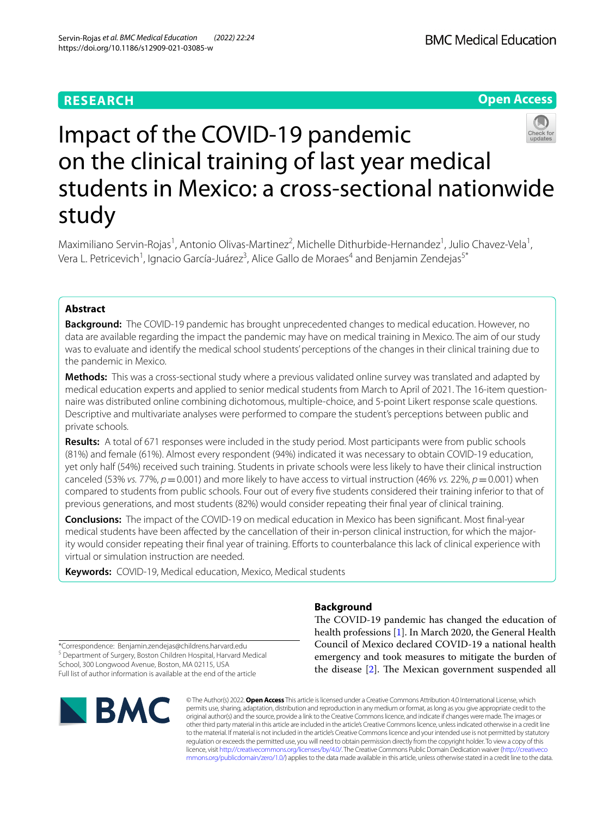# **RESEARCH**

**Open Access**

# Impact of the COVID‑19 pandemic on the clinical training of last year medical students in Mexico: a cross‑sectional nationwide study

Maximiliano Servin-Rojas<sup>1</sup>, Antonio Olivas-Martinez<sup>2</sup>, Michelle Dithurbide-Hernandez<sup>1</sup>, Julio Chavez-Vela<sup>1</sup>, Vera L. Petricevich<sup>1</sup>, Ignacio García-Juárez<sup>3</sup>, Alice Gallo de Moraes<sup>4</sup> and Benjamin Zendejas<sup>5\*</sup>

# **Abstract**

**Background:** The COVID-19 pandemic has brought unprecedented changes to medical education. However, no data are available regarding the impact the pandemic may have on medical training in Mexico. The aim of our study was to evaluate and identify the medical school students' perceptions of the changes in their clinical training due to the pandemic in Mexico.

**Methods:** This was a cross-sectional study where a previous validated online survey was translated and adapted by medical education experts and applied to senior medical students from March to April of 2021. The 16-item questionnaire was distributed online combining dichotomous, multiple-choice, and 5-point Likert response scale questions. Descriptive and multivariate analyses were performed to compare the student's perceptions between public and private schools.

**Results:** A total of 671 responses were included in the study period. Most participants were from public schools (81%) and female (61%). Almost every respondent (94%) indicated it was necessary to obtain COVID-19 education, yet only half (54%) received such training. Students in private schools were less likely to have their clinical instruction canceled (53% *vs.* 77%,  $p = 0.001$ ) and more likely to have access to virtual instruction (46% *vs.* 22%,  $p = 0.001$ ) when compared to students from public schools. Four out of every fve students considered their training inferior to that of previous generations, and most students (82%) would consider repeating their fnal year of clinical training.

**Conclusions:** The impact of the COVID-19 on medical education in Mexico has been signifcant. Most fnal-year medical students have been affected by the cancellation of their in-person clinical instruction, for which the majority would consider repeating their final year of training. Efforts to counterbalance this lack of clinical experience with virtual or simulation instruction are needed.

**Keywords:** COVID-19, Medical education, Mexico, Medical students

# **Background**

The COVID-19 pandemic has changed the education of health professions [\[1\]](#page-7-0). In March 2020, the General Health Council of Mexico declared COVID-19 a national health emergency and took measures to mitigate the burden of the disease  $[2]$  $[2]$ . The Mexican government suspended all

\*Correspondence: Benjamin.zendejas@childrens.harvard.edu <sup>5</sup> Department of Surgery, Boston Children Hospital, Harvard Medical School, 300 Longwood Avenue, Boston, MA 02115, USA Full list of author information is available at the end of the article



© The Author(s) 2022. **Open Access** This article is licensed under a Creative Commons Attribution 4.0 International License, which permits use, sharing, adaptation, distribution and reproduction in any medium or format, as long as you give appropriate credit to the original author(s) and the source, provide a link to the Creative Commons licence, and indicate if changes were made. The images or other third party material in this article are included in the article's Creative Commons licence, unless indicated otherwise in a credit line to the material. If material is not included in the article's Creative Commons licence and your intended use is not permitted by statutory regulation or exceeds the permitted use, you will need to obtain permission directly from the copyright holder. To view a copy of this licence, visit [http://creativecommons.org/licenses/by/4.0/.](http://creativecommons.org/licenses/by/4.0/) The Creative Commons Public Domain Dedication waiver ([http://creativeco](http://creativecommons.org/publicdomain/zero/1.0/) [mmons.org/publicdomain/zero/1.0/](http://creativecommons.org/publicdomain/zero/1.0/)) applies to the data made available in this article, unless otherwise stated in a credit line to the data.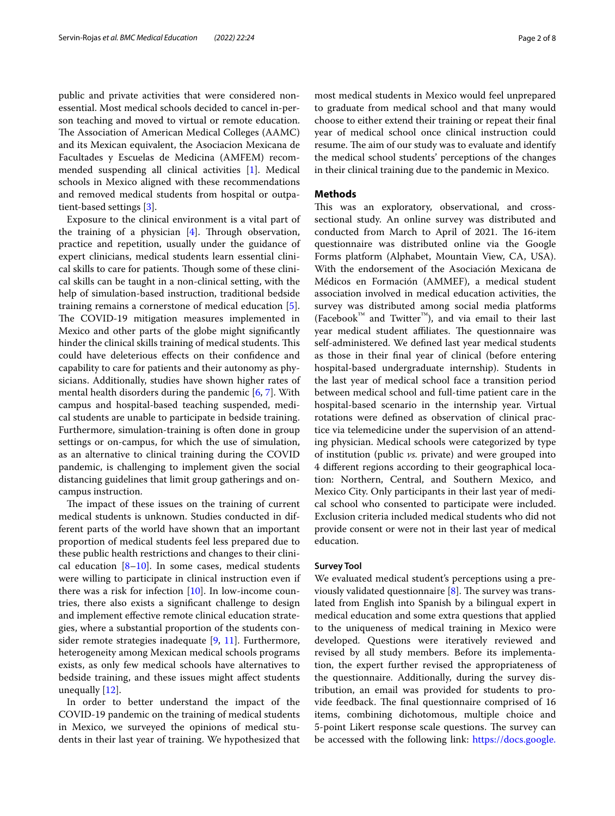public and private activities that were considered nonessential. Most medical schools decided to cancel in-person teaching and moved to virtual or remote education. The Association of American Medical Colleges (AAMC) and its Mexican equivalent, the Asociacion Mexicana de Facultades y Escuelas de Medicina (AMFEM) recommended suspending all clinical activities [[1\]](#page-7-0). Medical schools in Mexico aligned with these recommendations and removed medical students from hospital or outpatient-based settings [[3\]](#page-7-2).

Exposure to the clinical environment is a vital part of the training of a physician  $[4]$  $[4]$  $[4]$ . Through observation, practice and repetition, usually under the guidance of expert clinicians, medical students learn essential clinical skills to care for patients. Though some of these clinical skills can be taught in a non-clinical setting, with the help of simulation-based instruction, traditional bedside training remains a cornerstone of medical education [\[5](#page-7-4)]. The COVID-19 mitigation measures implemented in Mexico and other parts of the globe might signifcantly hinder the clinical skills training of medical students. This could have deleterious efects on their confdence and capability to care for patients and their autonomy as physicians. Additionally, studies have shown higher rates of mental health disorders during the pandemic [\[6](#page-7-5), [7\]](#page-7-6). With campus and hospital-based teaching suspended, medical students are unable to participate in bedside training. Furthermore, simulation-training is often done in group settings or on-campus, for which the use of simulation, as an alternative to clinical training during the COVID pandemic, is challenging to implement given the social distancing guidelines that limit group gatherings and oncampus instruction.

The impact of these issues on the training of current medical students is unknown. Studies conducted in different parts of the world have shown that an important proportion of medical students feel less prepared due to these public health restrictions and changes to their clinical education  $[8-10]$  $[8-10]$ . In some cases, medical students were willing to participate in clinical instruction even if there was a risk for infection  $[10]$  $[10]$ . In low-income countries, there also exists a signifcant challenge to design and implement efective remote clinical education strategies, where a substantial proportion of the students consider remote strategies inadequate [\[9](#page-7-9), [11\]](#page-7-10). Furthermore, heterogeneity among Mexican medical schools programs exists, as only few medical schools have alternatives to bedside training, and these issues might afect students unequally [\[12](#page-7-11)].

In order to better understand the impact of the COVID-19 pandemic on the training of medical students in Mexico, we surveyed the opinions of medical students in their last year of training. We hypothesized that most medical students in Mexico would feel unprepared to graduate from medical school and that many would choose to either extend their training or repeat their fnal year of medical school once clinical instruction could resume. The aim of our study was to evaluate and identify the medical school students' perceptions of the changes in their clinical training due to the pandemic in Mexico.

## **Methods**

This was an exploratory, observational, and crosssectional study. An online survey was distributed and conducted from March to April of 2021. The 16-item questionnaire was distributed online via the Google Forms platform (Alphabet, Mountain View, CA, USA). With the endorsement of the Asociación Mexicana de Médicos en Formación (AMMEF), a medical student association involved in medical education activities, the survey was distributed among social media platforms  $(Facebook<sup>TM</sup>$  and Twitter<sup>™</sup>), and via email to their last year medical student affiliates. The questionnaire was self-administered. We defned last year medical students as those in their fnal year of clinical (before entering hospital-based undergraduate internship). Students in the last year of medical school face a transition period between medical school and full-time patient care in the hospital-based scenario in the internship year. Virtual rotations were defned as observation of clinical practice via telemedicine under the supervision of an attending physician. Medical schools were categorized by type of institution (public *vs.* private) and were grouped into 4 diferent regions according to their geographical location: Northern, Central, and Southern Mexico, and Mexico City. Only participants in their last year of medical school who consented to participate were included. Exclusion criteria included medical students who did not provide consent or were not in their last year of medical education.

#### **Survey Tool**

We evaluated medical student's perceptions using a previously validated questionnaire  $[8]$  $[8]$ . The survey was translated from English into Spanish by a bilingual expert in medical education and some extra questions that applied to the uniqueness of medical training in Mexico were developed. Questions were iteratively reviewed and revised by all study members. Before its implementation, the expert further revised the appropriateness of the questionnaire. Additionally, during the survey distribution, an email was provided for students to provide feedback. The final questionnaire comprised of 16 items, combining dichotomous, multiple choice and 5-point Likert response scale questions. The survey can be accessed with the following link: [https://docs.google.](https://docs.google.com/forms/d/e/1FAIpQLSf9p9kZFsA4vpK7Z0dLh8fcIENshNlDb4eAkUc1lSNe9N6blw/viewform?usp=sf_link)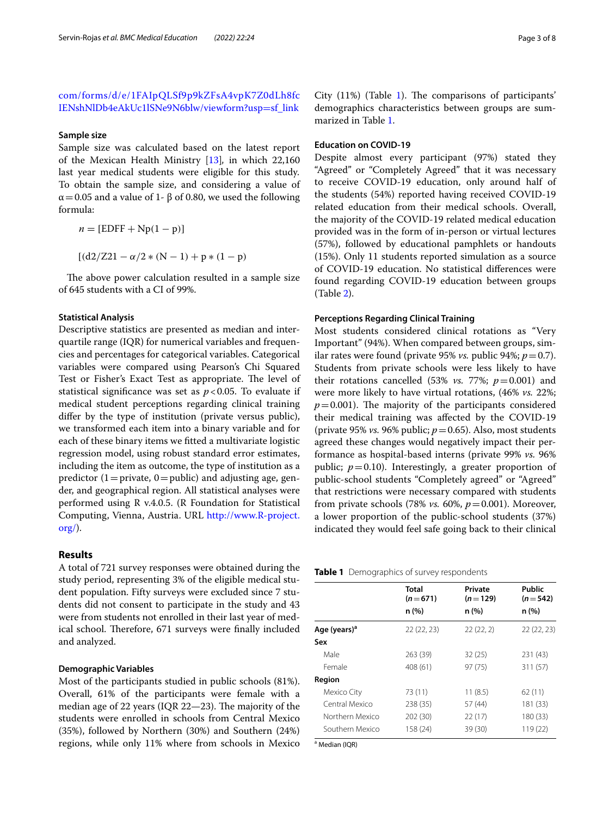[com/forms/d/e/1FAIpQLSf9p9kZFsA4vpK7Z0dLh8fc](https://docs.google.com/forms/d/e/1FAIpQLSf9p9kZFsA4vpK7Z0dLh8fcIENshNlDb4eAkUc1lSNe9N6blw/viewform?usp=sf_link) [IENshNlDb4eAkUc1lSNe9N6blw/viewform?usp](https://docs.google.com/forms/d/e/1FAIpQLSf9p9kZFsA4vpK7Z0dLh8fcIENshNlDb4eAkUc1lSNe9N6blw/viewform?usp=sf_link)=sf\_link

## **Sample size**

Sample size was calculated based on the latest report of the Mexican Health Ministry [\[13\]](#page-7-12)*,* in which 22,160 last year medical students were eligible for this study*.* To obtain the sample size, and considering a value of  $\alpha$  = 0.05 and a value of 1-  $\beta$  of 0.80, we used the following formula:

$$
n = [EDFF + Np(1 - p)]
$$

$$
[(d2/Z21 - \alpha/2 * (N - 1) + p * (1 - p)
$$

The above power calculation resulted in a sample size of 645 students with a CI of 99%.

#### **Statistical Analysis**

Descriptive statistics are presented as median and interquartile range (IQR) for numerical variables and frequencies and percentages for categorical variables. Categorical variables were compared using Pearson's Chi Squared Test or Fisher's Exact Test as appropriate. The level of statistical significance was set as  $p < 0.05$ . To evaluate if medical student perceptions regarding clinical training difer by the type of institution (private versus public), we transformed each item into a binary variable and for each of these binary items we ftted a multivariate logistic regression model, using robust standard error estimates, including the item as outcome, the type of institution as a predictor (1 = private, 0 = public) and adjusting age, gender, and geographical region. All statistical analyses were performed using R v.4.0.5. (R Foundation for Statistical Computing, Vienna, Austria. URL [http://www.R-project.](http://www.R-project.org/) [org/\)](http://www.R-project.org/).

# **Results**

A total of 721 survey responses were obtained during the study period, representing 3% of the eligible medical student population. Fifty surveys were excluded since 7 students did not consent to participate in the study and 43 were from students not enrolled in their last year of medical school. Therefore, 671 surveys were finally included and analyzed.

# **Demographic Variables**

Most of the participants studied in public schools (81%). Overall, 61% of the participants were female with a median age of 22 years (IQR  $22-23$ ). The majority of the students were enrolled in schools from Central Mexico (35%), followed by Northern (30%) and Southern (24%) regions, while only 11% where from schools in Mexico

City  $(11%)$  (Table [1\)](#page-2-0). The comparisons of participants' demographics characteristics between groups are summarized in Table [1](#page-2-0).

# **Education on COVID‑19**

Despite almost every participant (97%) stated they "Agreed" or "Completely Agreed" that it was necessary to receive COVID-19 education, only around half of the students (54%) reported having received COVID-19 related education from their medical schools. Overall, the majority of the COVID-19 related medical education provided was in the form of in-person or virtual lectures (57%), followed by educational pamphlets or handouts (15%). Only 11 students reported simulation as a source of COVID-19 education. No statistical diferences were found regarding COVID-19 education between groups (Table [2\)](#page-3-0).

# **Perceptions Regarding Clinical Training**

Most students considered clinical rotations as "Very Important" (94%). When compared between groups, similar rates were found (private 95% *vs.* public 94%;  $p = 0.7$ ). Students from private schools were less likely to have their rotations cancelled (53% *vs.* 77%;  $p=0.001$ ) and were more likely to have virtual rotations, (46% *vs.* 22%;  $p=0.001$ ). The majority of the participants considered their medical training was afected by the COVID-19 (private 95% *vs.* 96% public; *p*=0.65). Also, most students agreed these changes would negatively impact their performance as hospital-based interns (private 99% *vs.* 96% public;  $p=0.10$ ). Interestingly, a greater proportion of public-school students "Completely agreed" or "Agreed" that restrictions were necessary compared with students from private schools (78% *vs.* 60%, *p*=0.001). Moreover, a lower proportion of the public-school students (37%) indicated they would feel safe going back to their clinical

<span id="page-2-0"></span>

| Table 1 Demographics of survey respondents |  |
|--------------------------------------------|--|
|--------------------------------------------|--|

|                          | Total<br>$(n=671)$ | Private<br>$(n=129)$ | Public<br>$(n=542)$ |
|--------------------------|--------------------|----------------------|---------------------|
|                          | n(%)               | n (%)                | n (%)               |
| Age (years) <sup>a</sup> | 22(22, 23)         | 22(22, 2)            | 22 (22, 23)         |
| Sex                      |                    |                      |                     |
| Male                     | 263 (39)           | 32(25)               | 231 (43)            |
| Female                   | 408 (61)           | 97(75)               | 311 (57)            |
| Region                   |                    |                      |                     |
| Mexico City              | 73 (11)            | 11(8.5)              | 62(11)              |
| Central Mexico           | 238 (35)           | 57 (44)              | 181 (33)            |
| Northern Mexico          | 202 (30)           | 22(17)               | 180 (33)            |
| Southern Mexico          | 158 (24)           | 39 (30)              | 119 (22)            |

a Median (IQR)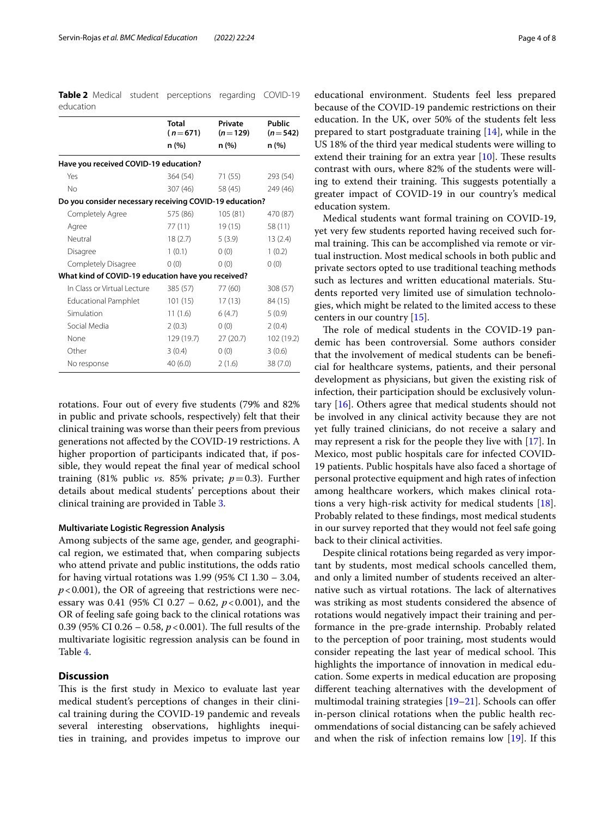<span id="page-3-0"></span>**Table 2** Medical student perceptions regarding COVID-19 education

|                                                         | <b>Total</b><br>$(n=671)$ | Private<br>$(n=129)$ | Public<br>$(n=542)$ |  |
|---------------------------------------------------------|---------------------------|----------------------|---------------------|--|
|                                                         | n (%)                     | n (%)                | n (%)               |  |
| Have you received COVID-19 education?                   |                           |                      |                     |  |
| Yes                                                     | 364 (54)                  | 71 (55)              | 293 (54)            |  |
| N <sub>o</sub>                                          | 307 (46)                  | 58 (45)              | 249 (46)            |  |
| Do you consider necessary receiving COVID-19 education? |                           |                      |                     |  |
| Completely Agree                                        | 575 (86)                  | 105 (81)             | 470 (87)            |  |
| Agree                                                   | 77 (11)                   | 19 (15)              | 58 (11)             |  |
| Neutral                                                 | 18(2.7)                   | 5(3.9)               | 13(2.4)             |  |
| Disagree                                                | 1(0.1)                    | 0(0)                 | 1(0.2)              |  |
| Completely Disagree                                     | 0(0)                      | 0(0)                 | 0(0)                |  |
| What kind of COVID-19 education have you received?      |                           |                      |                     |  |
| In Class or Virtual Lecture                             | 385 (57)                  | 77 (60)              | 308 (57)            |  |
| <b>Educational Pamphlet</b>                             | 101(15)                   | 17 (13)              | 84 (15)             |  |
| Simulation                                              | 11(1.6)                   | 6(4.7)               | 5(0.9)              |  |
| Social Media                                            | 2(0.3)                    | 0(0)                 | 2(0.4)              |  |
| None                                                    | 129 (19.7)                | 27(20.7)             | 102 (19.2)          |  |
| Other                                                   | 3(0.4)                    | 0(0)                 | 3(0.6)              |  |
| No response                                             | 40 (6.0)                  | 2(1.6)               | 38 (7.0)            |  |

rotations. Four out of every fve students (79% and 82% in public and private schools, respectively) felt that their clinical training was worse than their peers from previous generations not afected by the COVID-19 restrictions. A higher proportion of participants indicated that, if possible, they would repeat the fnal year of medical school training (81% public *vs.* 85% private;  $p=0.3$ ). Further details about medical students' perceptions about their clinical training are provided in Table [3](#page-4-0).

# **Multivariate Logistic Regression Analysis**

Among subjects of the same age, gender, and geographical region, we estimated that, when comparing subjects who attend private and public institutions, the odds ratio for having virtual rotations was 1.99 (95% CI 1.30 – 3.04,  $p$ <0.001), the OR of agreeing that restrictions were necessary was 0.41 (95% CI 0.27 – 0.62, *p*<0.001), and the OR of feeling safe going back to the clinical rotations was 0.39 (95% CI 0.26 – 0.58,  $p < 0.001$ ). The full results of the multivariate logisitic regression analysis can be found in Table [4](#page-5-0).

# **Discussion**

This is the first study in Mexico to evaluate last year medical student's perceptions of changes in their clinical training during the COVID-19 pandemic and reveals several interesting observations, highlights inequities in training, and provides impetus to improve our

educational environment. Students feel less prepared because of the COVID-19 pandemic restrictions on their education. In the UK, over 50% of the students felt less prepared to start postgraduate training [[14\]](#page-7-13), while in the US 18% of the third year medical students were willing to extend their training for an extra year  $[10]$  $[10]$ . These results contrast with ours, where 82% of the students were willing to extend their training. This suggests potentially a greater impact of COVID-19 in our country's medical education system.

Medical students want formal training on COVID-19, yet very few students reported having received such formal training. This can be accomplished via remote or virtual instruction. Most medical schools in both public and private sectors opted to use traditional teaching methods such as lectures and written educational materials. Students reported very limited use of simulation technologies, which might be related to the limited access to these centers in our country [[15\]](#page-7-14).

The role of medical students in the COVID-19 pandemic has been controversial. Some authors consider that the involvement of medical students can be benefcial for healthcare systems, patients, and their personal development as physicians, but given the existing risk of infection, their participation should be exclusively voluntary [\[16](#page-7-15)]. Others agree that medical students should not be involved in any clinical activity because they are not yet fully trained clinicians, do not receive a salary and may represent a risk for the people they live with [[17\]](#page-7-16). In Mexico, most public hospitals care for infected COVID-19 patients. Public hospitals have also faced a shortage of personal protective equipment and high rates of infection among healthcare workers, which makes clinical rotations a very high-risk activity for medical students [\[18](#page-7-17)]. Probably related to these fndings, most medical students in our survey reported that they would not feel safe going back to their clinical activities.

Despite clinical rotations being regarded as very important by students, most medical schools cancelled them, and only a limited number of students received an alternative such as virtual rotations. The lack of alternatives was striking as most students considered the absence of rotations would negatively impact their training and performance in the pre-grade internship. Probably related to the perception of poor training, most students would consider repeating the last year of medical school. This highlights the importance of innovation in medical education. Some experts in medical education are proposing diferent teaching alternatives with the development of multimodal training strategies  $[19-21]$  $[19-21]$  $[19-21]$ . Schools can offer in-person clinical rotations when the public health recommendations of social distancing can be safely achieved and when the risk of infection remains low [[19\]](#page-7-18). If this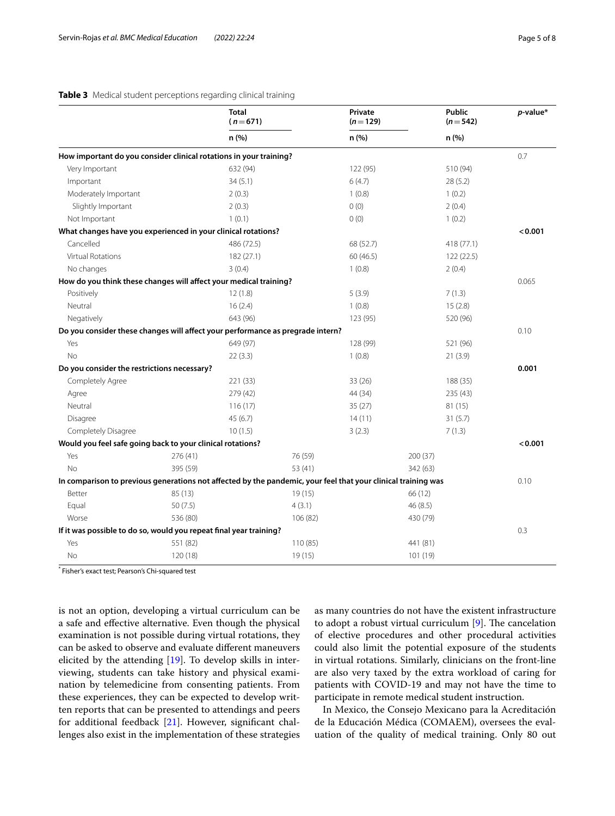# <span id="page-4-0"></span>**Table 3** Medical student perceptions regarding clinical training

|                                             | <b>Total</b><br>$(n=671)$                                                                                     |          | Private<br>$(n=129)$ | Public<br>$(n=542)$ | $p$ -value* |
|---------------------------------------------|---------------------------------------------------------------------------------------------------------------|----------|----------------------|---------------------|-------------|
|                                             | n (%)                                                                                                         |          | n (%)                | n (%)               |             |
|                                             | How important do you consider clinical rotations in your training?                                            |          |                      |                     | 0.7         |
| Very Important                              | 632 (94)                                                                                                      |          | 122 (95)             | 510 (94)            |             |
| Important                                   | 34(5.1)                                                                                                       |          | 6(4.7)               | 28(5.2)             |             |
| Moderately Important                        | 2(0.3)                                                                                                        |          | 1(0.8)               | 1(0.2)              |             |
| Slightly Important                          | 2(0.3)                                                                                                        |          | 0(0)                 | 2(0.4)              |             |
| Not Important                               | 1(0.1)                                                                                                        |          | 0(0)                 | 1(0.2)              |             |
|                                             | What changes have you experienced in your clinical rotations?                                                 |          |                      |                     | < 0.001     |
| Cancelled                                   | 486 (72.5)                                                                                                    |          | 68 (52.7)            | 418 (77.1)          |             |
| <b>Virtual Rotations</b>                    | 182 (27.1)                                                                                                    |          | 60(46.5)             | 122 (22.5)          |             |
| No changes                                  | 3(0.4)                                                                                                        |          | 1(0.8)               | 2(0.4)              |             |
|                                             | How do you think these changes will affect your medical training?                                             |          |                      |                     | 0.065       |
| Positively                                  | 12(1.8)                                                                                                       |          | 5(3.9)               | 7(1.3)              |             |
| Neutral                                     | 16(2.4)                                                                                                       |          | 1(0.8)               | 15(2.8)             |             |
| Negatively                                  | 643 (96)                                                                                                      |          | 123 (95)             | 520 (96)            |             |
|                                             | Do you consider these changes will affect your performance as pregrade intern?                                |          |                      |                     | 0.10        |
| Yes                                         | 649 (97)                                                                                                      |          | 128 (99)             | 521 (96)            |             |
| No                                          | 22(3.3)                                                                                                       |          | 1(0.8)               | 21(3.9)             |             |
| Do you consider the restrictions necessary? |                                                                                                               |          |                      |                     | 0.001       |
| Completely Agree                            | 221 (33)                                                                                                      |          | 33(26)               | 188 (35)            |             |
| Agree                                       | 279 (42)                                                                                                      |          | 44 (34)              | 235 (43)            |             |
| Neutral                                     | 116(17)                                                                                                       |          | 35(27)               | 81 (15)             |             |
| Disagree                                    | 45(6.7)                                                                                                       |          | 14(11)               | 31(5.7)             |             |
| Completely Disagree                         | 10(1.5)                                                                                                       |          | 3(2.3)               | 7(1.3)              |             |
|                                             | Would you feel safe going back to your clinical rotations?                                                    |          |                      |                     | < 0.001     |
| Yes                                         | 276 (41)                                                                                                      | 76 (59)  |                      | 200 (37)            |             |
| <b>No</b>                                   | 395 (59)                                                                                                      | 53 (41)  |                      | 342 (63)            |             |
|                                             | In comparison to previous generations not affected by the pandemic, your feel that your clinical training was |          |                      |                     | 0.10        |
| Better                                      | 85 (13)                                                                                                       | 19(15)   |                      | 66 (12)             |             |
| Equal                                       | 50(7.5)                                                                                                       | 4(3.1)   |                      | 46 (8.5)            |             |
| Worse                                       | 536 (80)                                                                                                      | 106 (82) |                      | 430 (79)            |             |
|                                             | If it was possible to do so, would you repeat final year training?                                            |          |                      |                     | 0.3         |
| Yes                                         | 551 (82)                                                                                                      | 110 (85) |                      | 441 (81)            |             |
| No                                          | 120 (18)                                                                                                      | 19(15)   |                      | 101 (19)            |             |

\* Fisher's exact test; Pearson's Chi-squared test

is not an option, developing a virtual curriculum can be a safe and efective alternative. Even though the physical examination is not possible during virtual rotations, they can be asked to observe and evaluate diferent maneuvers elicited by the attending [[19](#page-7-18)]. To develop skills in interviewing, students can take history and physical examination by telemedicine from consenting patients. From these experiences, they can be expected to develop written reports that can be presented to attendings and peers for additional feedback [[21](#page-7-19)]. However, signifcant challenges also exist in the implementation of these strategies as many countries do not have the existent infrastructure to adopt a robust virtual curriculum  $[9]$  $[9]$ . The cancelation of elective procedures and other procedural activities could also limit the potential exposure of the students in virtual rotations. Similarly, clinicians on the front-line are also very taxed by the extra workload of caring for patients with COVID-19 and may not have the time to participate in remote medical student instruction.

In Mexico, the Consejo Mexicano para la Acreditación de la Educación Médica (COMAEM), oversees the evaluation of the quality of medical training. Only 80 out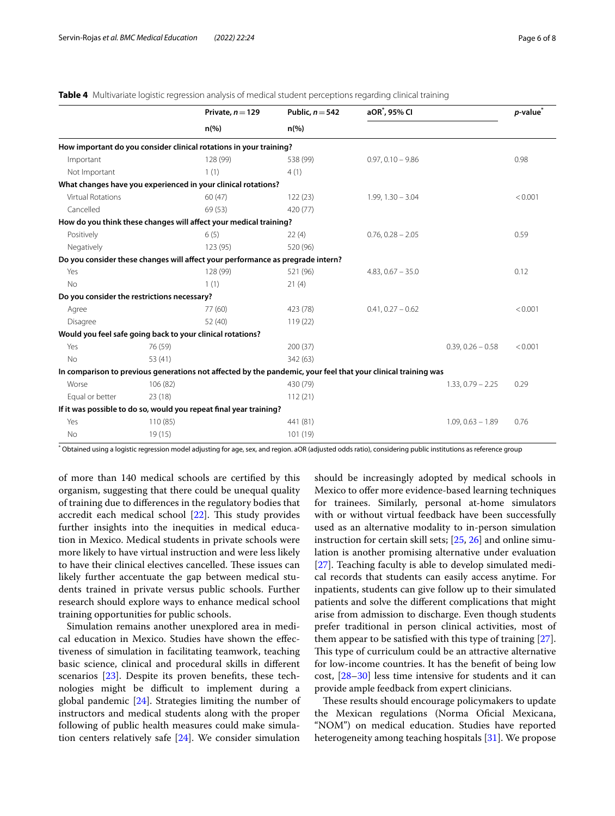|                                                            |          | Private, $n = 129$                                                                                            | Public, $n = 542$  | aOR <sup>*</sup> , 95% CI |                     | $p$ -value $*$ |
|------------------------------------------------------------|----------|---------------------------------------------------------------------------------------------------------------|--------------------|---------------------------|---------------------|----------------|
|                                                            |          | $n\left(\%\right)$                                                                                            | $n\left(\%\right)$ |                           |                     |                |
|                                                            |          | How important do you consider clinical rotations in your training?                                            |                    |                           |                     |                |
| Important                                                  |          | 128 (99)                                                                                                      | 538 (99)           | $0.97, 0.10 - 9.86$       |                     | 0.98           |
| Not Important                                              |          | 1(1)                                                                                                          | 4(1)               |                           |                     |                |
|                                                            |          | What changes have you experienced in your clinical rotations?                                                 |                    |                           |                     |                |
| <b>Virtual Rotations</b>                                   |          | 60(47)                                                                                                        | 122(23)            | $1.99, 1.30 - 3.04$       |                     | < 0.001        |
| Cancelled                                                  |          | 69 (53)                                                                                                       | 420 (77)           |                           |                     |                |
|                                                            |          | How do you think these changes will affect your medical training?                                             |                    |                           |                     |                |
| Positively                                                 |          | 6(5)                                                                                                          | 22(4)              | $0.76, 0.28 - 2.05$       |                     | 0.59           |
| Negatively                                                 |          | 123 (95)                                                                                                      | 520 (96)           |                           |                     |                |
|                                                            |          | Do you consider these changes will affect your performance as pregrade intern?                                |                    |                           |                     |                |
| Yes                                                        |          | 128 (99)                                                                                                      | 521 (96)           | $4.83, 0.67 - 35.0$       |                     | 0.12           |
| <b>No</b>                                                  |          | 1(1)                                                                                                          | 21(4)              |                           |                     |                |
| Do you consider the restrictions necessary?                |          |                                                                                                               |                    |                           |                     |                |
| Agree                                                      |          | 77 (60)                                                                                                       | 423 (78)           | $0.41, 0.27 - 0.62$       |                     | < 0.001        |
| Disagree                                                   |          | 52 (40)                                                                                                       | 119(22)            |                           |                     |                |
| Would you feel safe going back to your clinical rotations? |          |                                                                                                               |                    |                           |                     |                |
| Yes                                                        | 76 (59)  |                                                                                                               | 200(37)            |                           | $0.39, 0.26 - 0.58$ | < 0.001        |
| <b>No</b>                                                  | 53 (41)  |                                                                                                               | 342 (63)           |                           |                     |                |
|                                                            |          | In comparison to previous generations not affected by the pandemic, your feel that your clinical training was |                    |                           |                     |                |
| Worse                                                      | 106 (82) |                                                                                                               | 430 (79)           |                           | $1.33, 0.79 - 2.25$ | 0.29           |
| Equal or better                                            | 23(18)   |                                                                                                               | 112(21)            |                           |                     |                |
|                                                            |          | If it was possible to do so, would you repeat final year training?                                            |                    |                           |                     |                |
| Yes                                                        | 110(85)  |                                                                                                               | 441 (81)           |                           | $1.09, 0.63 - 1.89$ | 0.76           |
| No                                                         | 19(15)   |                                                                                                               | 101 (19)           |                           |                     |                |

<span id="page-5-0"></span>

| <b>Table 4</b> Multivariate logistic regression analysis of medical student perceptions regarding clinical training |  |  |  |  |  |
|---------------------------------------------------------------------------------------------------------------------|--|--|--|--|--|
|                                                                                                                     |  |  |  |  |  |

\* Obtained using a logistic regression model adjusting for age, sex, and region. aOR (adjusted odds ratio), considering public institutions as reference group

of more than 140 medical schools are certifed by this organism, suggesting that there could be unequal quality of training due to diferences in the regulatory bodies that accredit each medical school  $[22]$  $[22]$ . This study provides further insights into the inequities in medical education in Mexico. Medical students in private schools were more likely to have virtual instruction and were less likely to have their clinical electives cancelled. These issues can likely further accentuate the gap between medical students trained in private versus public schools. Further research should explore ways to enhance medical school training opportunities for public schools.

Simulation remains another unexplored area in medical education in Mexico. Studies have shown the efectiveness of simulation in facilitating teamwork, teaching basic science, clinical and procedural skills in diferent scenarios [\[23](#page-7-21)]. Despite its proven benefts, these technologies might be difficult to implement during a global pandemic [[24\]](#page-7-22). Strategies limiting the number of instructors and medical students along with the proper following of public health measures could make simulation centers relatively safe [[24](#page-7-22)]. We consider simulation

should be increasingly adopted by medical schools in Mexico to ofer more evidence-based learning techniques for trainees. Similarly, personal at-home simulators with or without virtual feedback have been successfully used as an alternative modality to in-person simulation instruction for certain skill sets; [[25,](#page-7-23) [26\]](#page-7-24) and online simulation is another promising alternative under evaluation [[27\]](#page-7-25). Teaching faculty is able to develop simulated medical records that students can easily access anytime. For inpatients, students can give follow up to their simulated patients and solve the diferent complications that might arise from admission to discharge. Even though students prefer traditional in person clinical activities, most of them appear to be satisfed with this type of training [\[27](#page-7-25)]. This type of curriculum could be an attractive alternative for low-income countries. It has the beneft of being low cost, [\[28](#page-7-26)[–30](#page-7-27)] less time intensive for students and it can provide ample feedback from expert clinicians.

These results should encourage policymakers to update the Mexican regulations (Norma Oficial Mexicana, "NOM") on medical education. Studies have reported heterogeneity among teaching hospitals [\[31\]](#page-7-28). We propose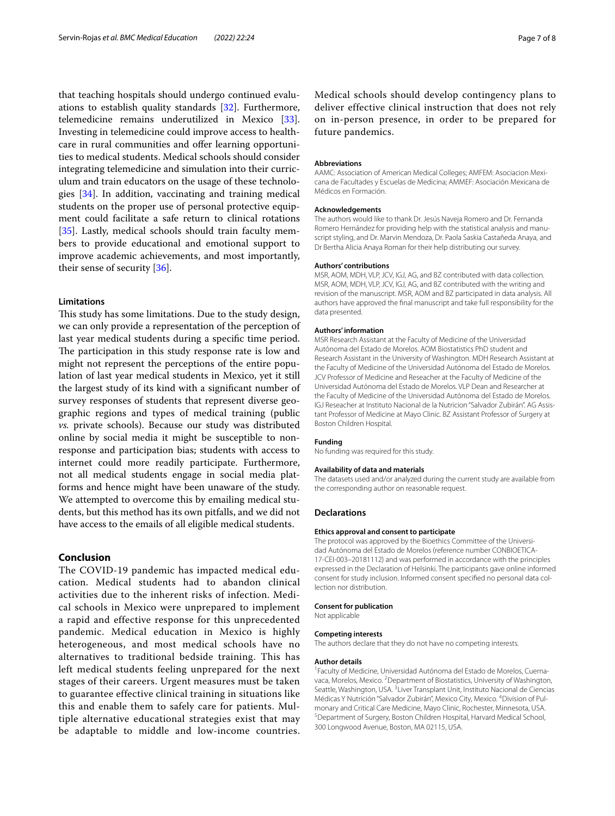that teaching hospitals should undergo continued evaluations to establish quality standards [\[32](#page-7-29)]. Furthermore, telemedicine remains underutilized in Mexico [\[33](#page-7-30)]. Investing in telemedicine could improve access to healthcare in rural communities and offer learning opportunities to medical students. Medical schools should consider integrating telemedicine and simulation into their curriculum and train educators on the usage of these technologies [[34\]](#page-7-31). In addition, vaccinating and training medical students on the proper use of personal protective equipment could facilitate a safe return to clinical rotations [[35\]](#page-7-32). Lastly, medical schools should train faculty members to provide educational and emotional support to improve academic achievements, and most importantly, their sense of security [\[36\]](#page-7-33).

# **Limitations**

This study has some limitations. Due to the study design, we can only provide a representation of the perception of last year medical students during a specifc time period. The participation in this study response rate is low and might not represent the perceptions of the entire population of last year medical students in Mexico, yet it still the largest study of its kind with a signifcant number of survey responses of students that represent diverse geographic regions and types of medical training (public *vs.* private schools). Because our study was distributed online by social media it might be susceptible to nonresponse and participation bias; students with access to internet could more readily participate. Furthermore, not all medical students engage in social media platforms and hence might have been unaware of the study. We attempted to overcome this by emailing medical students, but this method has its own pitfalls, and we did not have access to the emails of all eligible medical students.

# **Conclusion**

The COVID-19 pandemic has impacted medical education. Medical students had to abandon clinical activities due to the inherent risks of infection. Medical schools in Mexico were unprepared to implement a rapid and effective response for this unprecedented pandemic. Medical education in Mexico is highly heterogeneous, and most medical schools have no alternatives to traditional bedside training. This has left medical students feeling unprepared for the next stages of their careers. Urgent measures must be taken to guarantee effective clinical training in situations like this and enable them to safely care for patients. Multiple alternative educational strategies exist that may be adaptable to middle and low-income countries.

Medical schools should develop contingency plans to deliver effective clinical instruction that does not rely on in-person presence, in order to be prepared for future pandemics.

#### **Abbreviations**

AAMC: Association of American Medical Colleges; AMFEM: Asociacion Mexicana de Facultades y Escuelas de Medicina; AMMEF: Asociación Mexicana de Médicos en Formación.

#### **Acknowledgements**

The authors would like to thank Dr. Jesús Naveja Romero and Dr. Fernanda Romero Hernández for providing help with the statistical analysis and manuscript styling, and Dr. Marvin Mendoza, Dr. Paola Saskia Castañeda Anaya, and Dr Bertha Alicia Anaya Roman for their help distributing our survey.

#### **Authors' contributions**

MSR, AOM, MDH, VLP, JCV, IGJ, AG, and BZ contributed with data collection. MSR, AOM, MDH, VLP, JCV, IGJ, AG, and BZ contributed with the writing and revision of the manuscript. MSR, AOM and BZ participated in data analysis. All authors have approved the fnal manuscript and take full responsibility for the data presented.

#### **Authors' information**

MSR Research Assistant at the Faculty of Medicine of the Universidad Autónoma del Estado de Morelos. AOM Biostatistics PhD student and Research Assistant in the University of Washington. MDH Research Assistant at the Faculty of Medicine of the Universidad Autónoma del Estado de Morelos. JCV Professor of Medicine and Reseacher at the Faculty of Medicine of the Universidad Autónoma del Estado de Morelos. VLP Dean and Researcher at the Faculty of Medicine of the Universidad Autónoma del Estado de Morelos. IGJ Reseacher at Instituto Nacional de la Nutricion "Salvador Zubirán". AG Assistant Professor of Medicine at Mayo Clinic. BZ Assistant Professor of Surgery at Boston Children Hospital.

#### **Funding**

No funding was required for this study.

# **Availability of data and materials**

The datasets used and/or analyzed during the current study are available from the corresponding author on reasonable request.

#### **Declarations**

#### **Ethics approval and consent to participate**

The protocol was approved by the Bioethics Committee of the Universidad Autónoma del Estado de Morelos (reference number CONBIOETICA-17-CEI-003–20181112) and was performed in accordance with the principles expressed in the Declaration of Helsinki. The participants gave online informed consent for study inclusion. Informed consent specified no personal data collection nor distribution.

#### **Consent for publication**

Not applicable

#### **Competing interests**

The authors declare that they do not have no competing interests.

#### **Author details**

<sup>1</sup> Faculty of Medicine, Universidad Autónoma del Estado de Morelos, Cuernavaca, Morelos, Mexico.<sup>2</sup> Department of Biostatistics, University of Washington, Seattle, Washington, USA.<sup>3</sup> Liver Transplant Unit, Instituto Nacional de Ciencias Médicas Y Nutrición "Salvador Zubirán", Mexico City, Mexico. <sup>4</sup> Division of Pulmonary and Critical Care Medicine, Mayo Clinic, Rochester, Minnesota, USA. 5 Department of Surgery, Boston Children Hospital, Harvard Medical School, 300 Longwood Avenue, Boston, MA 02115, USA.